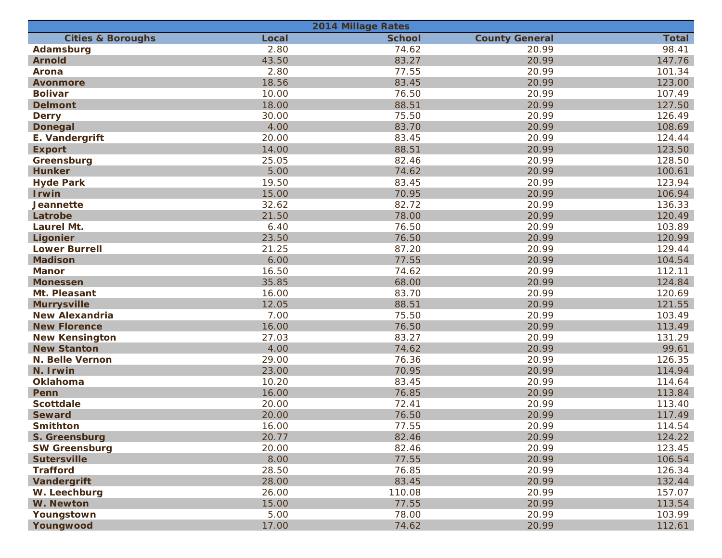| <b>2014 Millage Rates</b>    |       |               |                       |              |  |  |
|------------------------------|-------|---------------|-----------------------|--------------|--|--|
| <b>Cities &amp; Boroughs</b> | Local | <b>School</b> | <b>County General</b> | <b>Total</b> |  |  |
| Adamsburg                    | 2.80  | 74.62         | 20.99                 | 98.41        |  |  |
| <b>Arnold</b>                | 43.50 | 83.27         | 20.99                 | 147.76       |  |  |
| Arona                        | 2.80  | 77.55         | 20.99                 | 101.34       |  |  |
| <b>Avonmore</b>              | 18.56 | 83.45         | 20.99                 | 123.00       |  |  |
| <b>Bolivar</b>               | 10.00 | 76.50         | 20.99                 | 107.49       |  |  |
| <b>Delmont</b>               | 18.00 | 88.51         | 20.99                 | 127.50       |  |  |
| <b>Derry</b>                 | 30.00 | 75.50         | 20.99                 | 126.49       |  |  |
| <b>Donegal</b>               | 4.00  | 83.70         | 20.99                 | 108.69       |  |  |
| E. Vandergrift               | 20.00 | 83.45         | 20.99                 | 124.44       |  |  |
| <b>Export</b>                | 14.00 | 88.51         | 20.99                 | 123.50       |  |  |
| Greensburg                   | 25.05 | 82.46         | 20.99                 | 128.50       |  |  |
| <b>Hunker</b>                | 5.00  | 74.62         | 20.99                 | 100.61       |  |  |
| <b>Hyde Park</b>             | 19.50 | 83.45         | 20.99                 | 123.94       |  |  |
| <b>Irwin</b>                 | 15.00 | 70.95         | 20.99                 | 106.94       |  |  |
| <b>Jeannette</b>             | 32.62 | 82.72         | 20.99                 | 136.33       |  |  |
| Latrobe                      | 21.50 | 78.00         | 20.99                 | 120.49       |  |  |
| <b>Laurel Mt.</b>            | 6.40  | 76.50         | 20.99                 | 103.89       |  |  |
| Ligonier                     | 23.50 | 76.50         | 20.99                 | 120.99       |  |  |
| <b>Lower Burrell</b>         | 21.25 | 87.20         | 20.99                 | 129.44       |  |  |
| <b>Madison</b>               | 6.00  | 77.55         | 20.99                 | 104.54       |  |  |
| <b>Manor</b>                 | 16.50 | 74.62         | 20.99                 | 112.11       |  |  |
| <b>Monessen</b>              | 35.85 | 68.00         | 20.99                 | 124.84       |  |  |
| Mt. Pleasant                 | 16.00 | 83.70         | 20.99                 | 120.69       |  |  |
| <b>Murrysville</b>           | 12.05 | 88.51         | 20.99                 | 121.55       |  |  |
| <b>New Alexandria</b>        | 7.00  | 75.50         | 20.99                 | 103.49       |  |  |
| <b>New Florence</b>          | 16.00 | 76.50         | 20.99                 | 113.49       |  |  |
| <b>New Kensington</b>        | 27.03 | 83.27         | 20.99                 | 131.29       |  |  |
| <b>New Stanton</b>           | 4.00  | 74.62         | 20.99                 | 99.61        |  |  |
| <b>N. Belle Vernon</b>       | 29.00 | 76.36         | 20.99                 | 126.35       |  |  |
| N. Irwin                     | 23.00 | 70.95         | 20.99                 | 114.94       |  |  |
| Oklahoma                     | 10.20 | 83.45         | 20.99                 | 114.64       |  |  |
| Penn                         | 16.00 | 76.85         | 20.99                 | 113.84       |  |  |
| <b>Scottdale</b>             | 20.00 | 72.41         | 20.99                 | 113.40       |  |  |
| <b>Seward</b>                | 20.00 | 76.50         | 20.99                 | 117.49       |  |  |
| <b>Smithton</b>              | 16.00 | 77.55         | 20.99                 | 114.54       |  |  |
| S. Greensburg                | 20.77 | 82.46         | 20.99                 | 124.22       |  |  |
| <b>SW Greensburg</b>         | 20.00 | 82.46         | 20.99                 | 123.45       |  |  |
| <b>Sutersville</b>           | 8.00  | 77.55         | 20.99                 | 106.54       |  |  |
| <b>Trafford</b>              | 28.50 | 76.85         | 20.99                 | 126.34       |  |  |
| Vandergrift                  | 28.00 | 83.45         | 20.99                 | 132.44       |  |  |
| W. Leechburg                 | 26.00 | 110.08        | 20.99                 | 157.07       |  |  |
| W. Newton                    | 15.00 | 77.55         | 20.99                 | 113.54       |  |  |
| Youngstown                   | 5.00  | 78.00         | 20.99                 | 103.99       |  |  |
| Youngwood                    | 17.00 | 74.62         | 20.99                 | 112.61       |  |  |